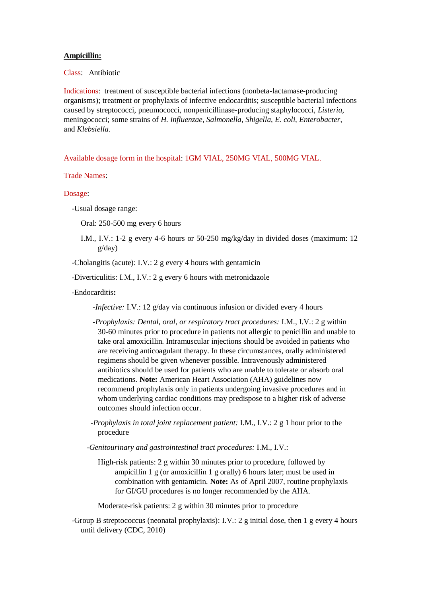## **Ampicillin:**

Class: Antibiotic

Indications: treatment of susceptible bacterial infections (nonbeta-lactamase-producing organisms); treatment or prophylaxis of infective endocarditis; susceptible bacterial infections caused by streptococci, pneumococci, nonpenicillinase-producing staphylococci, *Listeria*, meningococci; some strains of *H. influenzae*, *Salmonella*, *Shigella*, *E. coli*, *Enterobacter*, and *Klebsiella*.

Available dosage form in the hospital: 1GM VIAL, 250MG VIAL, 500MG VIAL.

Trade Names:

Dosage:

-Usual dosage range:

Oral: 250-500 mg every 6 hours

I.M., I.V.: 1-2 g every 4-6 hours or 50-250 mg/kg/day in divided doses (maximum: 12 g/day)

-Cholangitis (acute): I.V.: 2 g every 4 hours with gentamicin

-Diverticulitis: I.M., I.V.: 2 g every 6 hours with metronidazole

-Endocarditis**:**

*-Infective:* I.V.: 12 g/day via continuous infusion or divided every 4 hours

 *-Prophylaxis: Dental, oral, or respiratory tract procedures:* I.M., I.V.: 2 g within 30-60 minutes prior to procedure in patients not allergic to penicillin and unable to take oral amoxicillin. Intramuscular injections should be avoided in patients who are receiving anticoagulant therapy. In these circumstances, orally administered regimens should be given whenever possible. Intravenously administered antibiotics should be used for patients who are unable to tolerate or absorb oral medications. **Note:** American Heart Association (AHA) guidelines now recommend prophylaxis only in patients undergoing invasive procedures and in whom underlying cardiac conditions may predispose to a higher risk of adverse outcomes should infection occur.

 *-Prophylaxis in total joint replacement patient:* I.M., I.V.: 2 g 1 hour prior to the procedure

 *-Genitourinary and gastrointestinal tract procedures:* I.M., I.V.:

High-risk patients: 2 g within 30 minutes prior to procedure, followed by ampicillin 1 g (or amoxicillin 1 g orally) 6 hours later; must be used in combination with gentamicin. **Note:** As of April 2007, routine prophylaxis for GI/GU procedures is no longer recommended by the AHA.

Moderate-risk patients: 2 g within 30 minutes prior to procedure

 -Group B streptococcus (neonatal prophylaxis): I.V.: 2 g initial dose, then 1 g every 4 hours until delivery (CDC, 2010)